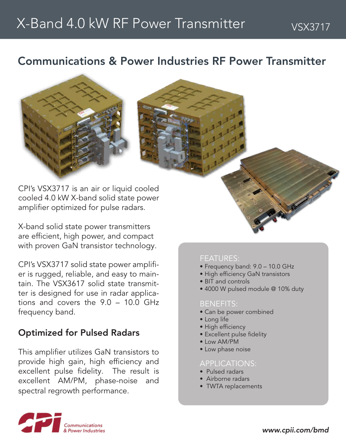### Communications & Power Industries RF Power Transmitter





CPI's VSX3717 is an air or liquid cooled cooled 4.0 kW X-band solid state power amplifier optimized for pulse radars.

X-band solid state power transmitters are efficient, high power, and compact with proven GaN transistor technology.

CPI's VSX3717 solid state power amplifier is rugged, reliable, and easy to maintain. The VSX3617 solid state transmitter is designed for use in radar applications and covers the 9.0 – 10.0 GHz frequency band.

### Optimized for Pulsed Radars

This amplifier utilizes GaN transistors to provide high gain, high efficiency and excellent pulse fidelity. The result is excellent AM/PM, phase-noise and spectral regrowth performance.

### FEATURES:

- Frequency band: 9.0 10.0 GHz
- High efficiency GaN transistors
- BIT and controls
- 4000 W pulsed module @ 10% duty

### BENEFITS:

- Can be power combined
- Long life
- High efficiency
- Excellent pulse fidelity
- Low AM/PM
- Low phase noise

### APPLICATIONS:

- Pulsed radars
- Airborne radars
- TWTA replacements

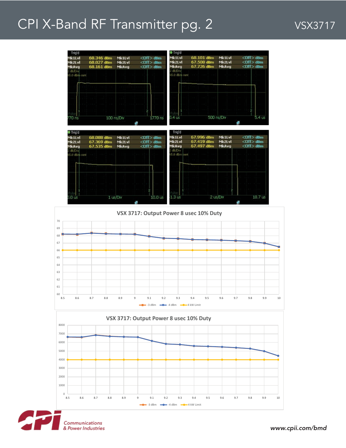## CPI X-Band RF Transmitter pg. 2 VSX3717





*www.cpii.com/bmd*